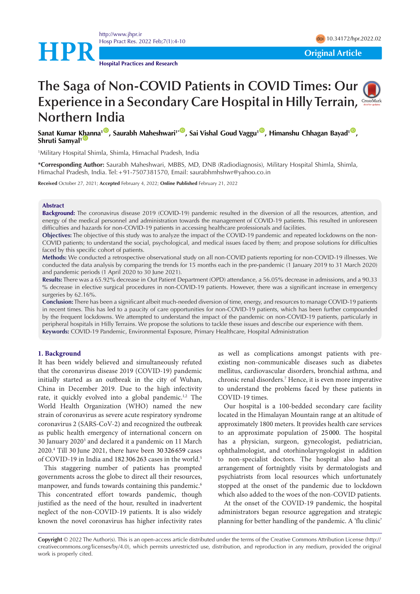



**HPR**<br> **Original Article** 

# **The Saga of Non-COVID Patients in COVID Times: Our Experience in a Secondary Care Hospital in Hilly Terrain, Northern India**

 $S$ anat Kumar [Kha](https://orcid.org/0000-0003-3554-2160)nna<sup>100</sup>, Saurabh Maheshwari<sup>1\*00</sup>, Sai Vishal Goud Vaggu<sup>100</sup>, Himanshu Chhagan Bayad<sup>100</sup>, **Shruti Samyal<sup>1</sup>** 

1 Military Hospital Shimla, Shimla, Himachal Pradesh, India

**\*Corresponding Author:** Saurabh Maheshwari, MBBS, MD, DNB (Radiodiagnosis), Military Hospital Shimla, Shimla, Himachal Pradesh, India. Tel:+91-7507381570, Email: [saurabhmhshwr@yahoo.co.in](mailto:saurabhmhshwr@yahoo.co.in)

**Received** October 27, 2021; **Accepted** February 4, 2022; **Online Published** February 21, 2022

#### **Abstract**

**Background:** The coronavirus disease 2019 (COVID-19) pandemic resulted in the diversion of all the resources, attention, and energy of the medical personnel and administration towards the management of COVID-19 patients. This resulted in unforeseen difficulties and hazards for non-COVID-19 patients in accessing healthcare professionals and facilities.

**Objectives:** The objective of this study was to analyze the impact of the COVID-19 pandemic and repeated lockdowns on the non-COVID patients; to understand the social, psychological, and medical issues faced by them; and propose solutions for difficulties faced by this specific cohort of patients.

**Methods:** We conducted a retrospective observational study on all non-COVID patients reporting for non-COVID-19 illnesses. We conducted the data analysis by comparing the trends for 15 months each in the pre-pandemic (1 January 2019 to 31 March 2020) and pandemic periods (1 April 2020 to 30 June 2021).

**Results:** There was a 65.92% decrease in Out Patient Department (OPD) attendance, a 56.05% decrease in admissions, and a 90.33 % decrease in elective surgical procedures in non-COVID-19 patients. However, there was a significant increase in emergency surgeries by 62.16%.

**Conclusion:** There has been a significant albeit much-needed diversion of time, energy, and resources to manage COVID-19 patients in recent times. This has led to a paucity of care opportunities for non-COVID-19 patients, which has been further compounded by the frequent lockdowns. We attempted to understand the impact of the pandemic on non-COVID-19 patients, particularly in peripheral hospitals in Hilly Terrains. We propose the solutions to tackle these issues and describe our experience with them. **Keywords:** COVID-19 Pandemic, Environmental Exposure, Primary Healthcare, Hospital Administration

#### **1. Background**

It has been widely believed and simultaneously refuted that the coronavirus disease 2019 (COVID-19) pandemic initially started as an outbreak in the city of Wuhan, China in December 2019. Due to the high infectivity rate, it quickly evolved into a global pandemic.<sup>1,2</sup> The World Health Organization (WHO) named the new strain of coronavirus as severe acute respiratory syndrome coronavirus 2 (SARS-CoV-2) and recognized the outbreak as public health emergency of international concern on 30 January 2020<sup>3</sup> and declared it a pandemic on 11 March 2020.4 Till 30 June 2021, there have been 30 326 659 cases of COVID-19 in India and 182 306 263 cases in the world.<sup>5</sup>

This staggering number of patients has prompted governments across the globe to direct all their resources, manpower, and funds towards containing this pandemic.<sup>6</sup> This concentrated effort towards pandemic, though justified as the need of the hour, resulted in inadvertent neglect of the non-COVID-19 patients. It is also widely known the novel coronavirus has higher infectivity rates

as well as complications amongst patients with preexisting non-communicable diseases such as diabetes mellitus, cardiovascular disorders, bronchial asthma, and chronic renal disorders.7 Hence, it is even more imperative to understand the problems faced by these patients in COVID-19 times.

Our hospital is a 100-bedded secondary care facility located in the Himalayan Mountain range at an altitude of approximately 1800 meters. It provides health care services to an approximate population of 25 000. The hospital has a physician, surgeon, gynecologist, pediatrician, ophthalmologist, and otorhinolaryngologist in addition to non-specialist doctors. The hospital also had an arrangement of fortnightly visits by dermatologists and psychiatrists from local resources which unfortunately stopped at the onset of the pandemic due to lockdown which also added to the woes of the non-COVID patients.

At the onset of the COVID-19 pandemic, the hospital administrators began resource aggregation and strategic planning for better handling of the pandemic. A 'flu clinic'

**Copyright** © 2022 The Author(s). This is an open-access article distributed under the terms of the Creative Commons Attribution License (http:// creativecommons.org/licenses/by/4.0), which permits unrestricted use, distribution, and reproduction in any medium, provided the original work is properly cited.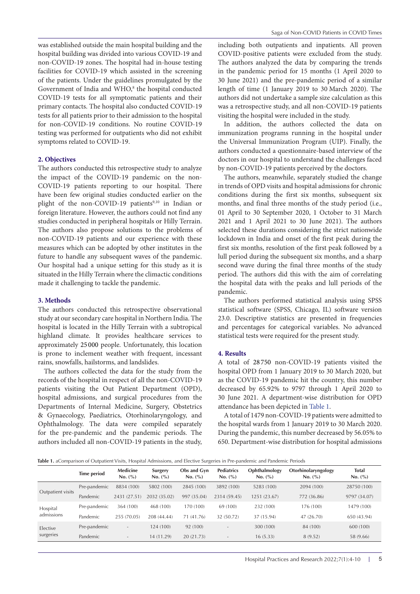was established outside the main hospital building and the hospital building was divided into various COVID-19 and non-COVID-19 zones. The hospital had in-house testing facilities for COVID-19 which assisted in the screening of the patients. Under the guidelines promulgated by the Government of India and WHO,<sup>8</sup> the hospital conducted COVID-19 tests for all symptomatic patients and their primary contacts. The hospital also conducted COVID-19 tests for all patients prior to their admission to the hospital for non-COVID-19 conditions. No routine COVID-19 testing was performed for outpatients who did not exhibit symptoms related to COVID-19.

#### **2. Objectives**

The authors conducted this retrospective study to analyze the impact of the COVID-19 pandemic on the non-COVID-19 patients reporting to our hospital. There have been few original studies conducted earlier on the plight of the non-COVID-19 patients<sup>9,10</sup> in Indian or foreign literature. However, the authors could not find any studies conducted in peripheral hospitals or Hilly Terrain. The authors also propose solutions to the problems of non-COVID-19 patients and our experience with these measures which can be adopted by other institutes in the future to handle any subsequent waves of the pandemic. Our hospital had a unique setting for this study as it is situated in the Hilly Terrain where the climactic conditions made it challenging to tackle the pandemic.

#### **3. Methods**

The authors conducted this retrospective observational study at our secondary care hospital in Northern India. The hospital is located in the Hilly Terrain with a subtropical highland climate. It provides healthcare services to approximately 25 000 people. Unfortunately, this location is prone to inclement weather with frequent, incessant rains, snowfalls, hailstorms, and landslides.

The authors collected the data for the study from the records of the hospital in respect of all the non-COVID-19 patients visiting the Out Patient Department (OPD), hospital admissions, and surgical procedures from the Departments of Internal Medicine, Surgery, Obstetrics & Gynaecology, Paediatrics, Otorhinolaryngology, and Ophthalmology. The data were compiled separately for the pre-pandemic and the pandemic periods. The authors included all non-COVID-19 patients in the study,

including both outpatients and inpatients. All proven COVID-positive patients were excluded from the study. The authors analyzed the data by comparing the trends in the pandemic period for 15 months (1 April 2020 to 30 June 2021) and the pre-pandemic period of a similar length of time (1 January 2019 to 30 March 2020). The authors did not undertake a sample size calculation as this was a retrospective study, and all non-COVID-19 patients visiting the hospital were included in the study.

In addition, the authors collected the data on immunization programs running in the hospital under the Universal Immunization Program (UIP). Finally, the authors conducted a questionnaire-based interview of the doctors in our hospital to understand the challenges faced by non-COVID-19 patients perceived by the doctors.

The authors, meanwhile, separately studied the change in trends of OPD visits and hospital admissions for chronic conditions during the first six months, subsequent six months, and final three months of the study period (i.e., 01 April to 30 September 2020, 1 October to 31 March 2021 and 1 April 2021 to 30 June 2021). The authors selected these durations considering the strict nationwide lockdown in India and onset of the first peak during the first six months, resolution of the first peak followed by a lull period during the subsequent six months, and a sharp second wave during the final three months of the study period. The authors did this with the aim of correlating the hospital data with the peaks and lull periods of the pandemic.

The authors performed statistical analysis using SPSS statistical software (SPSS, Chicago, IL) software version 23.0. Descriptive statistics are presented in frequencies and percentages for categorical variables. No advanced statistical tests were required for the present study.

#### **4. Results**

A total of 28 750 non-COVID-19 patients visited the hospital OPD from 1 January 2019 to 30 March 2020, but as the COVID-19 pandemic hit the country, this number decreased by 65.92% to 9797 through 1 April 2020 to 30 June 2021. A department-wise distribution for OPD attendance has been depicted in [Table 1.](#page-1-0)

A total of 1479 non-COVID-19 patients were admitted to the hospital wards from 1 January 2019 to 30 March 2020. During the pandemic, this number decreased by 56.05% to 650. Department-wise distribution for hospital admissions

<span id="page-1-0"></span>**[Table 1](#page-2-0).** aComparison of Outpatient Visits, Hospital Admissions, and Elective Surgeries in Pre-pandemic and Pandemic Periods

|                        | <b>Time period</b> | Medicine<br>No. (%)      | Surgery<br>No. (%) | Obs and Gyn<br>No. (%) | <b>Pediatrics</b><br>No. (%) | Ophthalmology<br>No. (%) | Otorhinolaryngology<br>No. (%) | Total<br>No. (%) |
|------------------------|--------------------|--------------------------|--------------------|------------------------|------------------------------|--------------------------|--------------------------------|------------------|
|                        | Pre-pandemic       | 8834 (100)               | 5802 (100)         | 2845 (100)             | 3892 (100)                   | 5283 (100)               | 2094 (100)                     | 28750 (100)      |
| Outpatient visits      | Pandemic           | (27.51)<br>2431          | 2032 (35.02)       | 997 (35.04)            | 2314 (59.45)                 | 1251 (23.67)             | 772 (36.86)                    | 9797 (34.07)     |
| Hospital<br>admissions | Pre-pandemic       | 364 (100)                | 468 (100)          | 170 (100)              | 69 (100)                     | 232 (100)                | 176 (100)                      | 1479 (100)       |
|                        | Pandemic           | 255 (70.05)              | 208 (44.44)        | 71 (41.76)             | 32 (50.72)                   | 37 (15.94)               | 47 (26.70)                     | 650 (43.94)      |
| Elective<br>surgeries  | Pre-pandemic       | $\sim$                   | 124 (100)          | 92 (100)               | $\overline{\phantom{a}}$     | 300 (100)                | 84 (100)                       | 600 (100)        |
|                        | Pandemic           | $\overline{\phantom{a}}$ | 14 (11.29)         | 20 (21.73)             | $\overline{\phantom{a}}$     | 16 (5.33)                | 8 (9.52)                       | 58 (9.66)        |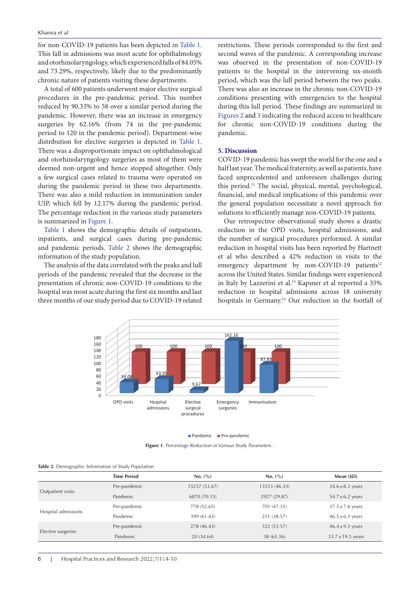#### Khanna et al

for non-COVID-19 patients has been depicted in [Table 1](#page-1-0). This fall in admissions was most acute for ophthalmology and otorhinolaryngology, which experienced falls of 84.05% and 73.29%, respectively, likely due to the predominantly chronic nature of patients visiting these departments.

A total of 600 patients underwent major elective surgical procedures in the pre-pandemic period. This number reduced by 90.33% to 58 over a similar period during the pandemic. However, there was an increase in emergency surgeries by 62.16% (from 74 in the pre-pandemic period to 120 in the pandemic period). Department-wise distribution for elective surgeries is depicted in [Table 1](#page-1-0). There was a disproportionate impact on ophthalmological and otorhinolaryngology surgeries as most of them were deemed non-urgent and hence stopped altogether. Only a few surgical cases related to trauma were operated on during the pandemic period in these two departments. There was also a mild reduction in immunization under UIP, which fell by 12.17% during the pandemic period. The percentage reduction in the various study parameters is summarized in [Figure 1.](#page-2-0)

[Table 1](#page-1-0) shows the demographic details of outpatients, inpatients, and surgical cases during pre-pandemic and pandemic periods. [Table 2](#page-2-1) shows the demographic information of the study population.

The analysis of the data correlated with the peaks and lull periods of the pandemic revealed that the decrease in the presentation of chronic non-COVID-19 conditions to the hospital was most acute during the first six months and last three months of our study period due to COVID-19 related

restrictions. These periods corresponded to the first and second waves of the pandemic. A corresponding increase was observed in the presentation of non-COVID-19 patients to the hospital in the intervening six-month period, which was the lull period between the two peaks. There was also an increase in the chronic non-COVID-19 conditions presenting with emergencies to the hospital during this lull period. These findings are summarized in [Figures 2](#page-3-0) and [3](#page-3-1) indicating the reduced access to healthcare for chronic non-COVID-19 conditions during the pandemic.

# **5. Discussion**

COVID-19 pandemic has swept the world for the one and a half last year. The medical fraternity, as well as patients, have faced unprecedented and unforeseen challenges during this period.11 The social, physical, mental, psychological, financial, and medical implications of this pandemic over the general population necessitate a novel approach for solutions to efficiently manage non-COVID-19 patients.

<span id="page-2-0"></span>Our retrospective observational study shows a drastic reduction in the OPD visits, hospital admissions, and the number of surgical procedures performed. A similar reduction in hospital visits has been reported by Hartnett et al who described a 42% reduction in visits to the emergency department by non-COVID-19 patients<sup>12</sup> across the United States. Similar findings were experienced in Italy by Lazzerini et al.<sup>13</sup> Kapsner et al reported a 35% reduction in hospital admissions across 18 university hospitals in Germany.<sup>14</sup> Our reduction in the footfall of



**Pandemic** Pre-pandemic

**Figure 1**. Percentage Reduction in Various Study Parameters .

| <b>Rabic 4.</b> Define applied information or biddy Topulation |                    |               |               |                       |  |  |  |  |
|----------------------------------------------------------------|--------------------|---------------|---------------|-----------------------|--|--|--|--|
|                                                                | <b>Time Period</b> | No. (%)       | No. (%)       | Mean (SD)             |  |  |  |  |
|                                                                | Pre-pandemic       | 15237 (53.67) | 13513 (46.33) | $34.6 \pm 8.3$ years  |  |  |  |  |
| Outpatient visits                                              | Pandemic           | 6870 (70.13)  | 2927 (29.87)  | $54.7 \pm 6.2$ years  |  |  |  |  |
|                                                                | Pre-pandemic       | 778 (52.65)   | 701 (47.35)   | $37.5 \pm 7.6$ years  |  |  |  |  |
| Hospital admissions                                            | Pandemic           | 399 (61.43)   | 251 (38.57)   | $46.5 \pm 6.3$ years  |  |  |  |  |
|                                                                | Pre-pandemic       | 278 (46.43)   | 322 (53.57)   | $46.4 \pm 9.3$ years  |  |  |  |  |
| Elective surgeries                                             | Pandemic           | 20 (34.64)    | 38 (65.36)    | $33.7 \pm 19.3$ years |  |  |  |  |

<span id="page-2-1"></span>**Table 2**. Demographic Information of Study Population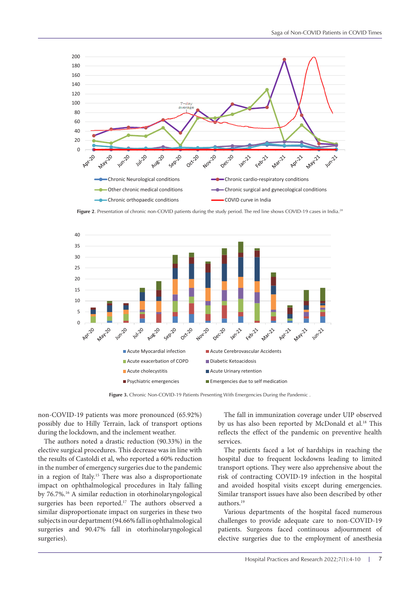<span id="page-3-0"></span>

Figure 2. Presentation of chronic non-COVID patients during the study period. The red line shows COVID-19 cases in India.<sup>28</sup>



**Figure 3.** Chronic Non-COVID-19 Patients Presenting With Emergencies During the Pandemic .

non-COVID-19 patients was more pronounced (65.92%) possibly due to Hilly Terrain, lack of transport options during the lockdown, and the inclement weather.

The authors noted a drastic reduction (90.33%) in the elective surgical procedures. This decrease was in line with the results of Castoldi et al, who reported a 60% reduction in the number of emergency surgeries due to the pandemic in a region of Italy.15 There was also a disproportionate impact on ophthalmological procedures in Italy falling by 76.7%.16 A similar reduction in otorhinolaryngological surgeries has been reported.<sup>17</sup> The authors observed a similar disproportionate impact on surgeries in these two subjects in our department (94.66% fall in ophthalmological surgeries and 90.47% fall in otorhinolaryngological surgeries).

<span id="page-3-1"></span>The fall in immunization coverage under UIP observed by us has also been reported by McDonald et al.<sup>18</sup> This reflects the effect of the pandemic on preventive health services.

The patients faced a lot of hardships in reaching the hospital due to frequent lockdowns leading to limited transport options. They were also apprehensive about the risk of contracting COVID-19 infection in the hospital and avoided hospital visits except during emergencies. Similar transport issues have also been described by other authors.19

Various departments of the hospital faced numerous challenges to provide adequate care to non-COVID-19 patients. Surgeons faced continuous adjournment of elective surgeries due to the employment of anesthesia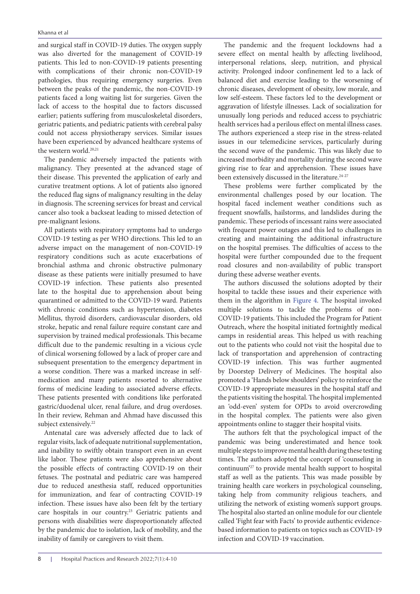and surgical staff in COVID-19 duties. The oxygen supply was also diverted for the management of COVID-19 patients. This led to non-COVID-19 patients presenting with complications of their chronic non-COVID-19 pathologies, thus requiring emergency surgeries. Even between the peaks of the pandemic, the non-COVID-19 patients faced a long waiting list for surgeries. Given the lack of access to the hospital due to factors discussed earlier; patients suffering from musculoskeletal disorders, geriatric patients, and pediatric patients with cerebral palsy could not access physiotherapy services. Similar issues have been experienced by advanced healthcare systems of the western world.<sup>20,21</sup>

The pandemic adversely impacted the patients with malignancy. They presented at the advanced stage of their disease. This prevented the application of early and curative treatment options. A lot of patients also ignored the reduced flag signs of malignancy resulting in the delay in diagnosis. The screening services for breast and cervical cancer also took a backseat leading to missed detection of pre-malignant lesions.

All patients with respiratory symptoms had to undergo COVID-19 testing as per WHO directions. This led to an adverse impact on the management of non-COVID-19 respiratory conditions such as acute exacerbations of bronchial asthma and chronic obstructive pulmonary disease as these patients were initially presumed to have COVID-19 infection. These patients also presented late to the hospital due to apprehension about being quarantined or admitted to the COVID-19 ward. Patients with chronic conditions such as hypertension, diabetes Mellitus, thyroid disorders, cardiovascular disorders, old stroke, hepatic and renal failure require constant care and supervision by trained medical professionals. This became difficult due to the pandemic resulting in a vicious cycle of clinical worsening followed by a lack of proper care and subsequent presentation to the emergency department in a worse condition. There was a marked increase in selfmedication and many patients resorted to alternative forms of medicine leading to associated adverse effects. These patients presented with conditions like perforated gastric/duodenal ulcer, renal failure, and drug overdoses. In their review, Rehman and Ahmad have discussed this subject extensively.<sup>22</sup>

Antenatal care was adversely affected due to lack of regular visits, lack of adequate nutritional supplementation, and inability to swiftly obtain transport even in an event like labor. These patients were also apprehensive about the possible effects of contracting COVID-19 on their fetuses. The postnatal and pediatric care was hampered due to reduced anesthesia staff, reduced opportunities for immunization, and fear of contracting COVID-19 infection. These issues have also been felt by the tertiary care hospitals in our country.23 Geriatric patients and persons with disabilities were disproportionately affected by the pandemic due to isolation, lack of mobility, and the inability of family or caregivers to visit them.

The pandemic and the frequent lockdowns had a severe effect on mental health by affecting livelihood, interpersonal relations, sleep, nutrition, and physical activity. Prolonged indoor confinement led to a lack of balanced diet and exercise leading to the worsening of chronic diseases, development of obesity, low morale, and low self-esteem. These factors led to the development or aggravation of lifestyle illnesses. Lack of socialization for unusually long periods and reduced access to psychiatric health services had a perilous effect on mental illness cases. The authors experienced a steep rise in the stress-related issues in our telemedicine services, particularly during the second wave of the pandemic. This was likely due to increased morbidity and mortality during the second wave giving rise to fear and apprehension. These issues have been extensively discussed in the literature.<sup>24-27</sup>

These problems were further complicated by the environmental challenges posed by our location. The hospital faced inclement weather conditions such as frequent snowfalls, hailstorms, and landslides during the pandemic. These periods of incessant rains were associated with frequent power outages and this led to challenges in creating and maintaining the additional infrastructure on the hospital premises. The difficulties of access to the hospital were further compounded due to the frequent road closures and non-availability of public transport during these adverse weather events.

The authors discussed the solutions adopted by their hospital to tackle these issues and their experience with them in the algorithm in [Figure 4](#page-5-0). The hospital invoked multiple solutions to tackle the problems of non-COVID-19 patients. This included the Program for Patient Outreach, where the hospital initiated fortnightly medical camps in residential areas. This helped us with reaching out to the patients who could not visit the hospital due to lack of transportation and apprehension of contracting COVID-19 infection. This was further augmented by Doorstep Delivery of Medicines. The hospital also promoted a 'Hands below shoulders' policy to reinforce the COVID-19 appropriate measures in the hospital staff and the patients visiting the hospital. The hospital implemented an 'odd-even' system for OPDs to avoid overcrowding in the hospital complex. The patients were also given appointments online to stagger their hospital visits.

The authors felt that the psychological impact of the pandemic was being underestimated and hence took multiple steps to improve mental health during these testing times. The authors adopted the concept of 'counseling in continuum'27 to provide mental health support to hospital staff as well as the patients. This was made possible by training health care workers in psychological counseling, taking help from community religious teachers, and utilizing the network of existing women's support groups. The hospital also started an online module for our clientele called 'Fight fear with Facts' to provide authentic evidencebased information to patients on topics such as COVID-19 infection and COVID-19 vaccination.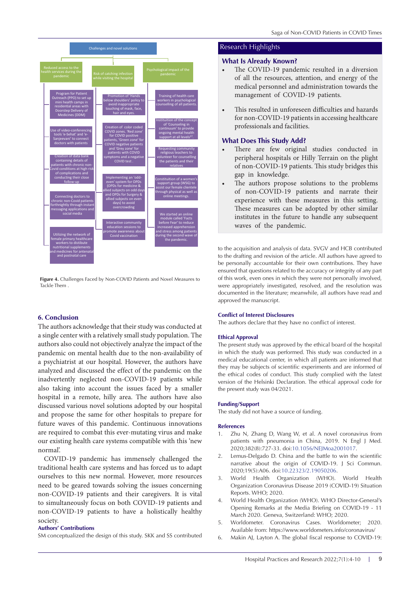

**Figure 4.** Challenges Faced by Non-COVID Patients and Novel Measures to Tackle Them .

# **6. Conclusion**

The authors acknowledge that their study was conducted at a single center with a relatively small study population. The authors also could not objectively analyze the impact of the pandemic on mental health due to the non-availability of a psychiatrist at our hospital. However, the authors have analyzed and discussed the effect of the pandemic on the inadvertently neglected non-COVID-19 patients while also taking into account the issues faced by a smaller hospital in a remote, hilly area. The authors have also discussed various novel solutions adopted by our hospital and propose the same for other hospitals to prepare for future waves of this pandemic. Continuous innovations are required to combat this ever-mutating virus and make our existing health care systems compatible with this 'new normal'.

COVID-19 pandemic has immensely challenged the traditional health care systems and has forced us to adapt ourselves to this new normal. However, more resources need to be geared towards solving the issues concerning non-COVID-19 patients and their caregivers. It is vital to simultaneously focus on both COVID-19 patients and non-COVID-19 patients to have a holistically healthy society.

# **Authors' Contributions**

SM conceptualized the design of this study. SKK and SS contributed

## <span id="page-5-0"></span>**What Is Already Known?**

- The COVID-19 pandemic resulted in a diversion of all the resources, attention, and energy of the medical personnel and administration towards the management of COVID-19 patients.
- This resulted in unforeseen difficulties and hazards for non-COVID-19 patients in accessing healthcare professionals and facilities.

# **What Does This Study Add?**

- There are few original studies conducted in peripheral hospitals or Hilly Terrain on the plight of non-COVID-19 patients. This study bridges this gap in knowledge.
- The authors propose solutions to the problems of non-COVID-19 patients and narrate their experience with these measures in this setting. These measures can be adopted by other similar institutes in the future to handle any subsequent waves of the pandemic.

to the acquisition and analysis of data. SVGV and HCB contributed to the drafting and revision of the article. All authors have agreed to be personally accountable for their own contributions. They have ensured that questions related to the accuracy or integrity of any part of this work, even ones in which they were not personally involved, were appropriately investigated, resolved, and the resolution was documented in the literature; meanwhile, all authors have read and approved the manuscript.

#### **Conflict of Interest Disclosures**

The authors declare that they have no conflict of interest.

#### **Ethical Approval**

The present study was approved by the ethical board of the hospital in which the study was performed. This study was conducted in a medical educational center, in which all patients are informed that they may be subjects of scientific experiments and are informed of the ethical codes of conduct. This study complied with the latest version of the Helsinki Declaration. The ethical approval code for the present study was 04/2021.

#### **Funding/Support**

The study did not have a source of funding.

#### **References**

- 1. Zhu N, Zhang D, Wang W, et al. A novel coronavirus from patients with pneumonia in China, 2019. N Engl J Med. 2020;382(8):727-33. doi[:10.1056/NEJMoa2001017](https://doi.org/10.1056/NEJMoa2001017).
- 2. Lemus-Delgado D. China and the battle to win the scientific narrative about the origin of COVID-19. J Sci Commun. 2020;19(5):A06. doi[:10.22323/2.19050206.](https://doi.org/10.22323/2.19050206)
- 3. World Health Organization (WHO). World Health Organization Coronavirus Disease 2019 (COVID-19) Situation Reports. WHO; 2020.
- 4. World Health Organization (WHO). WHO Director-General's Opening Remarks at the Media Briefing on COVID-19 - 11 March 2020. Geneva, Switzerland: WHO; 2020.
- 5. Worldometer. Coronavirus Cases. Worldometer; 2020. Available from: https://www.worldometers.info/coronavirus/
- 6. Makin AJ, Layton A. The global fiscal response to COVID-19: